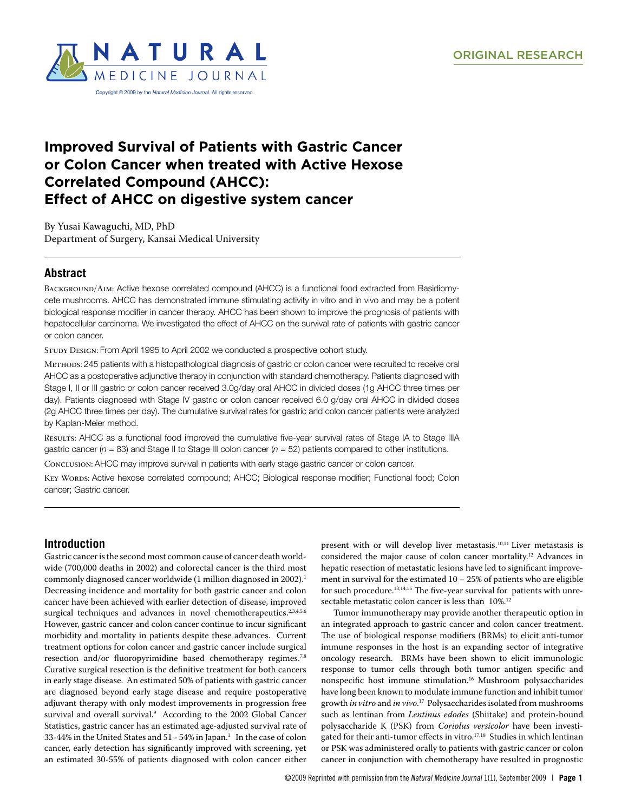

# **Improved Survival of Patients with Gastric Cancer or Colon Cancer when treated with Active Hexose Correlated Compound (AHCC): Effect of AHCC on digestive system cancer**

By Yusai Kawaguchi, MD, PhD Department of Surgery, Kansai Medical University

## **Abstract**

BACKGROUND/AIM: Active hexose correlated compound (AHCC) is a functional food extracted from Basidiomycete mushrooms. AHCC has demonstrated immune stimulating activity in vitro and in vivo and may be a potent biological response modifier in cancer therapy. AHCC has been shown to improve the prognosis of patients with hepatocellular carcinoma. We investigated the effect of AHCC on the survival rate of patients with gastric cancer or colon cancer.

STUDY DESIGN: From April 1995 to April 2002 we conducted a prospective cohort study.

Methods: 245 patients with a histopathological diagnosis of gastric or colon cancer were recruited to receive oral AHCC as a postoperative adjunctive therapy in conjunction with standard chemotherapy. Patients diagnosed with Stage I, II or III gastric or colon cancer received 3.0g/day oral AHCC in divided doses (1g AHCC three times per day). Patients diagnosed with Stage IV gastric or colon cancer received 6.0 g/day oral AHCC in divided doses (2g AHCC three times per day). The cumulative survival rates for gastric and colon cancer patients were analyzed by Kaplan-Meier method.

Results: AHCC as a functional food improved the cumulative five-year survival rates of Stage IA to Stage IIIA gastric cancer ( $n = 83$ ) and Stage II to Stage III colon cancer ( $n = 52$ ) patients compared to other institutions.

Conclusion: AHCC may improve survival in patients with early stage gastric cancer or colon cancer.

Key Words: Active hexose correlated compound; AHCC; Biological response modifier; Functional food; Colon cancer; Gastric cancer.

# **Introduction**

Gastric cancer is the second most common cause of cancer death worldwide (700,000 deaths in 2002) and colorectal cancer is the third most commonly diagnosed cancer worldwide (1 million diagnosed in 2002).<sup>1</sup> Decreasing incidence and mortality for both gastric cancer and colon cancer have been achieved with earlier detection of disease, improved surgical techniques and advances in novel chemotherapeutics.<sup>2,3,4,5,6</sup> However, gastric cancer and colon cancer continue to incur significant morbidity and mortality in patients despite these advances. Current treatment options for colon cancer and gastric cancer include surgical resection and/or fluoropyrimidine based chemotherapy regimes.<sup>7,8</sup> Curative surgical resection is the definitive treatment for both cancers in early stage disease. An estimated 50% of patients with gastric cancer are diagnosed beyond early stage disease and require postoperative adjuvant therapy with only modest improvements in progression free survival and overall survival.9 According to the 2002 Global Cancer Statistics, gastric cancer has an estimated age-adjusted survival rate of 33-44% in the United States and 51 - 54% in Japan. $^1\;$  In the case of colon cancer, early detection has significantly improved with screening, yet an estimated 30-55% of patients diagnosed with colon cancer either present with or will develop liver metastasis.10,11 Liver metastasis is considered the major cause of colon cancer mortality.<sup>12</sup> Advances in hepatic resection of metastatic lesions have led to significant improvement in survival for the estimated  $10 - 25%$  of patients who are eligible for such procedure.<sup>13,14,15</sup> The five-year survival for patients with unresectable metastatic colon cancer is less than 10%.<sup>12</sup>

Tumor immunotherapy may provide another therapeutic option in an integrated approach to gastric cancer and colon cancer treatment. The use of biological response modifiers (BRMs) to elicit anti-tumor immune responses in the host is an expanding sector of integrative oncology research. BRMs have been shown to elicit immunologic response to tumor cells through both tumor antigen specific and nonspecific host immune stimulation.16 Mushroom polysaccharides have long been known to modulate immune function and inhibit tumor growth *in vitro* and *in vivo*. 17 Polysaccharides isolated from mushrooms such as lentinan from *Lentinus edodes* (Shiitake) and protein-bound polysaccharide K (PSK) from *Coriolus versicolor* have been investigated for their anti-tumor effects in vitro.<sup>17,18</sup> Studies in which lentinan or PSK was administered orally to patients with gastric cancer or colon cancer in conjunction with chemotherapy have resulted in prognostic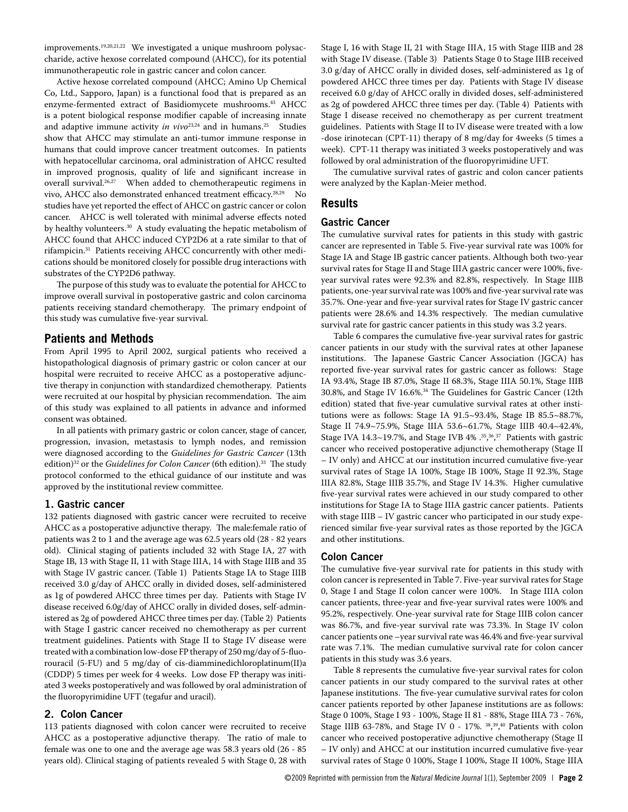improvements.19,20,21,22 We investigated a unique mushroom polysaccharide, active hexose correlated compound (AHCC), for its potential immunotherapeutic role in gastric cancer and colon cancer.

Active hexose correlated compound (AHCC; Amino Up Chemical Co, Ltd., Sapporo, Japan) is a functional food that is prepared as an enzyme-fermented extract of Basidiomycete mushrooms.<sup>43</sup> AHCC is a potent biological response modifier capable of increasing innate and adaptive immune activity *in vivo*<sup>23,24</sup> and in humans.<sup>25</sup> Studies show that AHCC may stimulate an anti-tumor immune response in humans that could improve cancer treatment outcomes. In patients with hepatocellular carcinoma, oral administration of AHCC resulted in improved prognosis, quality of life and significant increase in overall survival.26,27 When added to chemotherapeutic regimens in vivo, AHCC also demonstrated enhanced treatment efficacy.<sup>28,29</sup> No studies have yet reported the effect of AHCC on gastric cancer or colon cancer. AHCC is well tolerated with minimal adverse effects noted by healthy volunteers.<sup>30</sup> A study evaluating the hepatic metabolism of AHCC found that AHCC induced CYP2D6 at a rate similar to that of rifampicin.31 Patients receiving AHCC concurrently with other medications should be monitored closely for possible drug interactions with substrates of the CYP2D6 pathway.

The purpose of this study was to evaluate the potential for AHCC to improve overall survival in postoperative gastric and colon carcinoma patients receiving standard chemotherapy. The primary endpoint of this study was cumulative five-year survival.

### **Patients and Methods**

From April 1995 to April 2002, surgical patients who received a histopathological diagnosis of primary gastric or colon cancer at our hospital were recruited to receive AHCC as a postoperative adjunctive therapy in conjunction with standardized chemotherapy. Patients were recruited at our hospital by physician recommendation. The aim of this study was explained to all patients in advance and informed consent was obtained.

In all patients with primary gastric or colon cancer, stage of cancer, progression, invasion, metastasis to lymph nodes, and remission were diagnosed according to the *Guidelines for Gastric Cancer* (13th edition)<sup>32</sup> or the *Guidelines for Colon Cancer* (6th edition).<sup>33</sup> The study protocol conformed to the ethical guidance of our institute and was approved by the institutional review committee.

#### **1. Gastric cancer**

132 patients diagnosed with gastric cancer were recruited to receive AHCC as a postoperative adjunctive therapy. The male:female ratio of patients was 2 to 1 and the average age was 62.5 years old (28 - 82 years old). Clinical staging of patients included 32 with Stage IA, 27 with Stage IB, 13 with Stage II, 11 with Stage IIIA, 14 with Stage IIIB and 35 with Stage IV gastric cancer. (Table 1) Patients Stage IA to Stage IIIB received 3.0 g/day of AHCC orally in divided doses, self-administered as 1g of powdered AHCC three times per day. Patients with Stage IV disease received 6.0g/day of AHCC orally in divided doses, self-administered as 2g of powdered AHCC three times per day. (Table 2) Patients with Stage I gastric cancer received no chemotherapy as per current treatment guidelines. Patients with Stage II to Stage IV disease were treated with a combination low-dose FP therapy of 250 mg/day of 5-fluorouracil (5-FU) and 5 mg/day of cis-diamminedichloroplatinum(II)a (CDDP) 5 times per week for 4 weeks. Low dose FP therapy was initiated 3 weeks postoperatively and was followed by oral administration of the fluoropyrimidine UFT (tegafur and uracil).

#### **2. Colon Cancer**

113 patients diagnosed with colon cancer were recruited to receive AHCC as a postoperative adjunctive therapy. The ratio of male to female was one to one and the average age was 58.3 years old (26 - 85 years old). Clinical staging of patients revealed 5 with Stage 0, 28 with Stage I, 16 with Stage II, 21 with Stage IIIA, 15 with Stage IIIB and 28 with Stage IV disease. (Table 3) Patients Stage 0 to Stage IIIB received 3.0 g/day of AHCC orally in divided doses, self-administered as 1g of powdered AHCC three times per day. Patients with Stage IV disease received 6.0 g/day of AHCC orally in divided doses, self-administered as 2g of powdered AHCC three times per day. (Table 4) Patients with Stage I disease received no chemotherapy as per current treatment guidelines. Patients with Stage II to IV disease were treated with a low -dose irinotecan (CPT-11) therapy of 8 mg/day for 4weeks (5 times a week). CPT-11 therapy was initiated 3 weeks postoperatively and was followed by oral administration of the fluoropyrimidine UFT.

The cumulative survival rates of gastric and colon cancer patients were analyzed by the Kaplan-Meier method.

## **Results**

### **Gastric Cancer**

The cumulative survival rates for patients in this study with gastric cancer are represented in Table 5. Five-year survival rate was 100% for Stage IA and Stage IB gastric cancer patients. Although both two-year survival rates for Stage II and Stage IIIA gastric cancer were 100%, fiveyear survival rates were 92.3% and 82.8%, respectively. In Stage IIIB patients, one-year survival rate was 100% and five-year survival rate was 35.7%. One-year and five-year survival rates for Stage IV gastric cancer patients were 28.6% and 14.3% respectively. The median cumulative survival rate for gastric cancer patients in this study was 3.2 years.

Table 6 compares the cumulative five-year survival rates for gastric cancer patients in our study with the survival rates at other Japanese institutions. The Japanese Gastric Cancer Association (JGCA) has reported five-year survival rates for gastric cancer as follows: Stage IA 93.4%, Stage IB 87.0%, Stage II 68.3%, Stage IIIA 50.1%, Stage IIIB 30.8%, and Stage IV 16.6%.34 The Guidelines for Gastric Cancer (12th edition) stated that five-year cumulative survival rates at other institutions were as follows: Stage IA 91.5~93.4%, Stage IB 85.5~88.7%, Stage II 74.9~75.9%, Stage IIIA 53.6~61.7%, Stage IIIB 40.4~42.4%, Stage IVA  $14.3{\sim}19.7\%$ , and Stage IVB  $4\%$   $.^{35,36,37}_{ }$  Patients with gastric cancer who received postoperative adjunctive chemotherapy (Stage II – IV only) and AHCC at our institution incurred cumulative five-year survival rates of Stage IA 100%, Stage IB 100%, Stage II 92.3%, Stage IIIA 82.8%, Stage IIIB 35.7%, and Stage IV 14.3%. Higher cumulative five-year survival rates were achieved in our study compared to other institutions for Stage IA to Stage IIIA gastric cancer patients. Patients with stage IIIB – IV gastric cancer who participated in our study experienced similar five-year survival rates as those reported by the JGCA and other institutions.

#### **Colon Cancer**

The cumulative five-year survival rate for patients in this study with colon cancer is represented in Table 7. Five-year survival rates for Stage 0, Stage I and Stage II colon cancer were 100%. In Stage IIIA colon cancer patients, three-year and five-year survival rates were 100% and 95.2%, respectively. One-year survival rate for Stage IIIB colon cancer was 86.7%, and five-year survival rate was 73.3%. In Stage IV colon cancer patients one –year survival rate was 46.4% and five-year survival rate was 7.1%. The median cumulative survival rate for colon cancer patients in this study was 3.6 years.

Table 8 represents the cumulative five-year survival rates for colon cancer patients in our study compared to the survival rates at other Japanese institutions. The five-year cumulative survival rates for colon cancer patients reported by other Japanese institutions are as follows: Stage 0 100%, Stage I 93 - 100%, Stage II 81 - 88%, Stage IIIA 73 - 76%, Stage IIIB 63-78%, and Stage IV 0 - 17%. 38, 39, 40 Patients with colon cancer who received postoperative adjunctive chemotherapy (Stage II – IV only) and AHCC at our institution incurred cumulative five-year survival rates of Stage 0 100%, Stage I 100%, Stage II 100%, Stage IIIA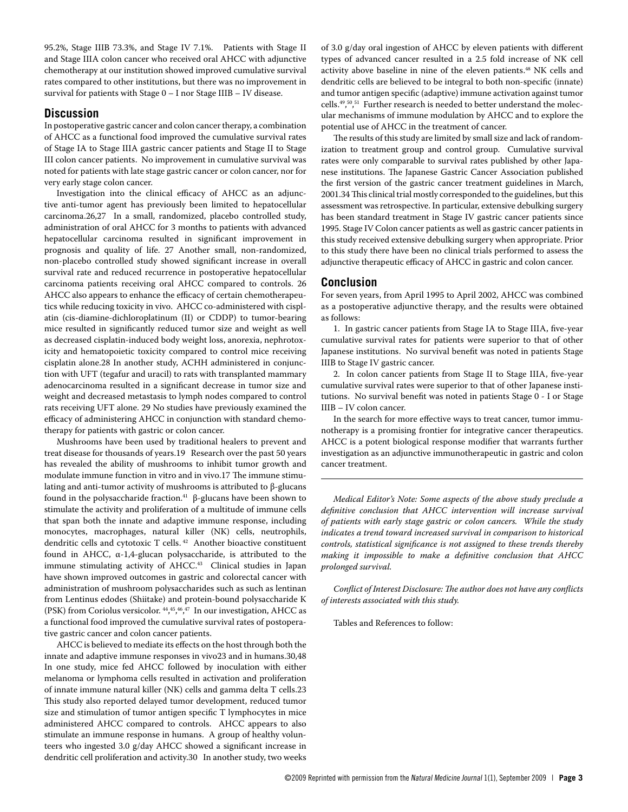95.2%, Stage IIIB 73.3%, and Stage IV 7.1%. Patients with Stage II and Stage IIIA colon cancer who received oral AHCC with adjunctive chemotherapy at our institution showed improved cumulative survival rates compared to other institutions, but there was no improvement in survival for patients with Stage 0 – I nor Stage IIIB – IV disease.

## **Discussion**

In postoperative gastric cancer and colon cancer therapy, a combination of AHCC as a functional food improved the cumulative survival rates of Stage IA to Stage IIIA gastric cancer patients and Stage II to Stage III colon cancer patients. No improvement in cumulative survival was noted for patients with late stage gastric cancer or colon cancer, nor for very early stage colon cancer.

Investigation into the clinical efficacy of AHCC as an adjunctive anti-tumor agent has previously been limited to hepatocellular carcinoma.26,27 In a small, randomized, placebo controlled study, administration of oral AHCC for 3 months to patients with advanced hepatocellular carcinoma resulted in significant improvement in prognosis and quality of life. 27 Another small, non-randomized, non-placebo controlled study showed significant increase in overall survival rate and reduced recurrence in postoperative hepatocellular carcinoma patients receiving oral AHCC compared to controls. 26 AHCC also appears to enhance the efficacy of certain chemotherapeutics while reducing toxicity in vivo. AHCC co-administered with cisplatin (cis-diamine-dichloroplatinum (II) or CDDP) to tumor-bearing mice resulted in significantly reduced tumor size and weight as well as decreased cisplatin-induced body weight loss, anorexia, nephrotoxicity and hematopoietic toxicity compared to control mice receiving cisplatin alone.28 In another study, ACHH administered in conjunction with UFT (tegafur and uracil) to rats with transplanted mammary adenocarcinoma resulted in a significant decrease in tumor size and weight and decreased metastasis to lymph nodes compared to control rats receiving UFT alone. 29 No studies have previously examined the efficacy of administering AHCC in conjunction with standard chemotherapy for patients with gastric or colon cancer.

Mushrooms have been used by traditional healers to prevent and treat disease for thousands of years.19 Research over the past 50 years has revealed the ability of mushrooms to inhibit tumor growth and modulate immune function in vitro and in vivo.17 The immune stimulating and anti-tumor activity of mushrooms is attributed to β-glucans found in the polysaccharide fraction.<sup>41</sup> β-glucans have been shown to stimulate the activity and proliferation of a multitude of immune cells that span both the innate and adaptive immune response, including monocytes, macrophages, natural killer (NK) cells, neutrophils, dendritic cells and cytotoxic T cells. 42 Another bioactive constituent found in AHCC,  $\alpha$ -1,4-glucan polysaccharide, is attributed to the immune stimulating activity of AHCC.<sup>43</sup> Clinical studies in Japan have shown improved outcomes in gastric and colorectal cancer with administration of mushroom polysaccharides such as such as lentinan from Lentinus edodes (Shiitake) and protein-bound polysaccharide K (PSK) from Coriolus versicolor. 44, 45, 46, 47 In our investigation, AHCC as a functional food improved the cumulative survival rates of postoperative gastric cancer and colon cancer patients.

AHCC is believed to mediate its effects on the host through both the innate and adaptive immune responses in vivo23 and in humans.30,48 In one study, mice fed AHCC followed by inoculation with either melanoma or lymphoma cells resulted in activation and proliferation of innate immune natural killer (NK) cells and gamma delta T cells.23 This study also reported delayed tumor development, reduced tumor size and stimulation of tumor antigen specific T lymphocytes in mice administered AHCC compared to controls. AHCC appears to also stimulate an immune response in humans. A group of healthy volunteers who ingested 3.0 g/day AHCC showed a significant increase in dendritic cell proliferation and activity.30 In another study, two weeks

of 3.0 g/day oral ingestion of AHCC by eleven patients with different types of advanced cancer resulted in a 2.5 fold increase of NK cell activity above baseline in nine of the eleven patients.<sup>48</sup> NK cells and dendritic cells are believed to be integral to both non-specific (innate) and tumor antigen specific (adaptive) immune activation against tumor cells.49, 50, 51 Further research is needed to better understand the molecular mechanisms of immune modulation by AHCC and to explore the potential use of AHCC in the treatment of cancer.

The results of this study are limited by small size and lack of randomization to treatment group and control group. Cumulative survival rates were only comparable to survival rates published by other Japanese institutions. The Japanese Gastric Cancer Association published the first version of the gastric cancer treatment guidelines in March, 2001.34 This clinical trial mostly corresponded to the guidelines, but this assessment was retrospective. In particular, extensive debulking surgery has been standard treatment in Stage IV gastric cancer patients since 1995. Stage IV Colon cancer patients as well as gastric cancer patients in this study received extensive debulking surgery when appropriate. Prior to this study there have been no clinical trials performed to assess the adjunctive therapeutic efficacy of AHCC in gastric and colon cancer.

## **Conclusion**

For seven years, from April 1995 to April 2002, AHCC was combined as a postoperative adjunctive therapy, and the results were obtained as follows:

1. In gastric cancer patients from Stage IA to Stage IIIA, five-year cumulative survival rates for patients were superior to that of other Japanese institutions. No survival benefit was noted in patients Stage IIIB to Stage IV gastric cancer.

2. In colon cancer patients from Stage II to Stage IIIA, five-year cumulative survival rates were superior to that of other Japanese institutions. No survival benefit was noted in patients Stage 0 - I or Stage IIIB – IV colon cancer.

In the search for more effective ways to treat cancer, tumor immunotherapy is a promising frontier for integrative cancer therapeutics. AHCC is a potent biological response modifier that warrants further investigation as an adjunctive immunotherapeutic in gastric and colon cancer treatment.

*Medical Editor's Note: Some aspects of the above study preclude a definitive conclusion that AHCC intervention will increase survival of patients with early stage gastric or colon cancers. While the study indicates a trend toward increased survival in comparison to historical controls, statistical significance is not assigned to these trends thereby making it impossible to make a definitive conclusion that AHCC prolonged survival.* 

*Conflict of Interest Disclosure: The author does not have any conflicts of interests associated with this study.*

Tables and References to follow: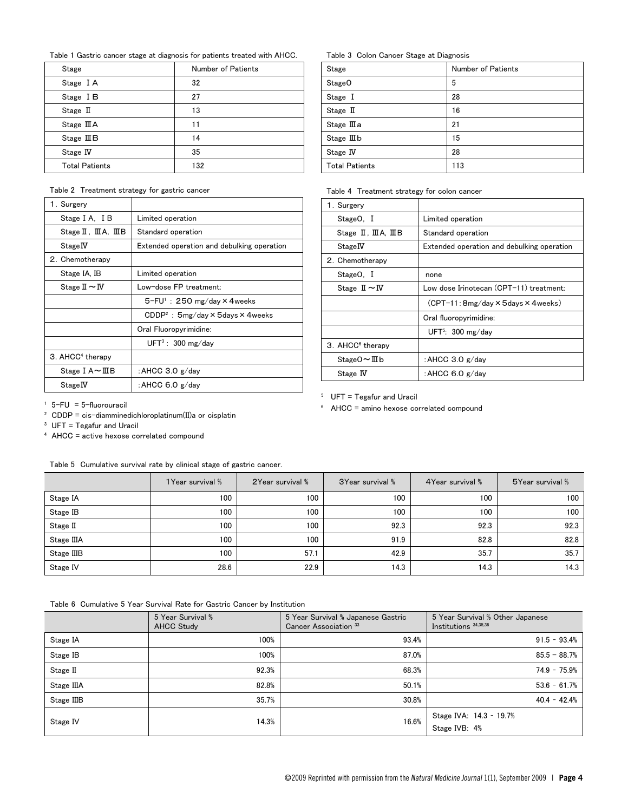Table 1 Gastric cancer stage at diagnosis for patients treated with AHCC.

| Stage                 | Number of Patients |
|-----------------------|--------------------|
| Stage IA              | 32                 |
| Stage IB              | 27                 |
| Stage $\mathbb I$     | 13                 |
| Stage III A           | 11                 |
| Stage $I\mathbb{I}$ B | 14                 |
| Stage IV              | 35                 |
| <b>Total Patients</b> | 132                |

Table 2 Treatment strategy for gastric cancer

| 1. Surgery                         |                                                   |  |
|------------------------------------|---------------------------------------------------|--|
| Stage I A. I B                     | Limited operation                                 |  |
| $Stage II$ , $IIA$ , $IIB$         | Standard operation                                |  |
| Stage IV                           | Extended operation and debulking operation        |  |
| 2. Chemotherapy                    |                                                   |  |
| Stage IA, IB                       | Limited operation                                 |  |
| Stage $\mathbb{I} \sim \mathbb{N}$ | Low-dose FP treatment:                            |  |
|                                    | $5-FU^{\dagger}$ : 250 mg/day $\times$ 4 weeks    |  |
|                                    | $CDDP2$ : 5mg/day $\times$ 5days $\times$ 4 weeks |  |
|                                    | Oral Fluoropyrimidine:                            |  |
|                                    | $UFT^3$ : 300 mg/day                              |  |
| 3. AHCC <sup>4</sup> therapy       |                                                   |  |
| Stage I $A \sim \text{IIB}$        | : AHCC $3.0 \text{ g/day}$                        |  |
| Stage IV                           | : AHCC 6.0 $g$ /day                               |  |

Table 3 Colon Cancer Stage at Diagnosis

| Stage                 | Number of Patients |
|-----------------------|--------------------|
| Stage <sub>O</sub>    | 5                  |
| Stage I               | 28                 |
| Stage II              | 16                 |
| Stage $\rm I\!I\!I$ a | 21                 |
| Stage III b           | 15                 |
| Stage IV              | 28                 |
| <b>Total Patients</b> | 113                |

Table 4 Treatment strategy for colon cancer

| 1. Surgery                         |                                                 |  |
|------------------------------------|-------------------------------------------------|--|
| StageO, I                          | Limited operation                               |  |
| Stage II, III A, III B             | Standard operation                              |  |
| Stage IV                           | Extended operation and debulking operation      |  |
| 2. Chemotherapy                    |                                                 |  |
| StageO, I                          | none                                            |  |
| Stage $\mathbb{I} \sim \mathbb{N}$ | Low dose Irinotecan (CPT-11) treatment:         |  |
|                                    | $(CPT-11:8mg/day \times 5 days \times 4 weeks)$ |  |
|                                    | Oral fluoropyrimidine:                          |  |
|                                    | UFT <sup>5</sup> : $300 \text{ mg/day}$         |  |
| 3. AHCC <sup>6</sup> therapy       |                                                 |  |
| Stage $0 \sim \mathbb{II}$ b       | : AHCC $3.0 \text{ g/day}$                      |  |
| Stage <b>IV</b>                    | : AHCC 6.0 g/day                                |  |

 $5$  UFT = Tegafur and Uracil

6 AHCC = amino hexose correlated compound

 $1$  5-FU = 5-fluorouracil

2 CDDP = cis-diamminedichloroplatinum(II)a or cisplatin

 $3$  UFT = Tegafur and Uracil

4 AHCC = active hexose correlated compound

| Table 5 Cumulative survival rate by clinical stage of gastric cancer. |  |
|-----------------------------------------------------------------------|--|
|-----------------------------------------------------------------------|--|

|            | 1 Year survival % | 2Year survival % | 3 Year survival % | 4 Year survival % | 5Year survival % |
|------------|-------------------|------------------|-------------------|-------------------|------------------|
| Stage IA   | 100               | 100              | 100               | 100               | 100              |
| Stage IB   | 100               | 100              | 100               | 100               | 100              |
| Stage II   | 100               | 100              | 92.3              | 92.3              | 92.3             |
| Stage IIIA | 100               | 100              | 91.9              | 82.8              | 82.8             |
| Stage IIIB | 100               | 57.1             | 42.9              | 35.7              | 35.7             |
| Stage IV   | 28.6              | 22.9             | 14.3              | 14.3              | 14.3             |

Table 6 Cumulative 5 Year Survival Rate for Gastric Cancer by Institution

|            | 5 Year Survival %<br><b>AHCC Study</b> | 5 Year Survival % Japanese Gastric<br>Cancer Association 33 | 5 Year Survival % Other Japanese<br>Institutions 34,35,36 |
|------------|----------------------------------------|-------------------------------------------------------------|-----------------------------------------------------------|
| Stage IA   | 100%                                   | 93.4%                                                       | $91.5 - 93.4%$                                            |
| Stage IB   | 100%                                   | 87.0%                                                       | $85.5 - 88.7%$                                            |
| Stage II   | 92.3%                                  | 68.3%                                                       | $74.9 - 75.9%$                                            |
| Stage IIIA | 82.8%                                  | 50.1%                                                       | $53.6 - 61.7%$                                            |
| Stage IIIB | 35.7%                                  | 30.8%                                                       | $40.4 - 42.4%$                                            |
| Stage IV   | 14.3%                                  | 16.6%                                                       | Stage IVA: 14.3 - 19.7%<br>Stage IVB: 4%                  |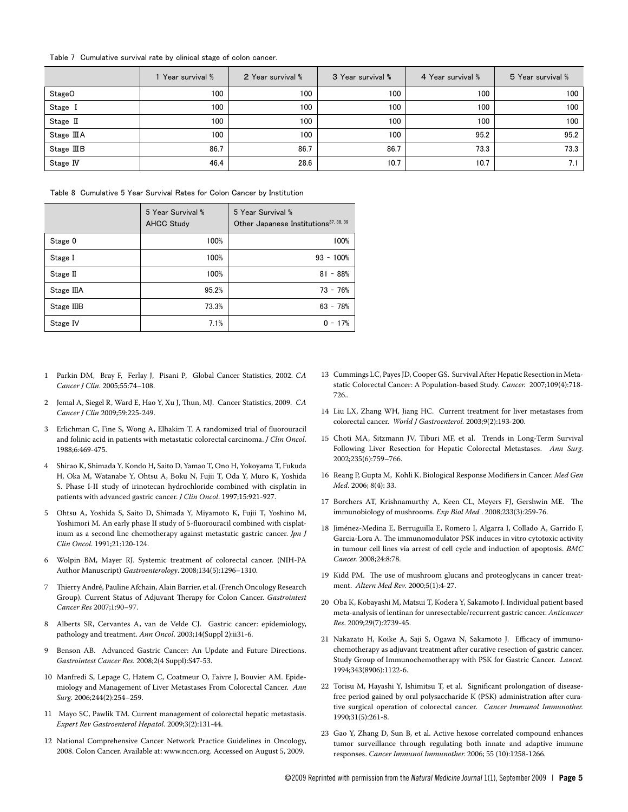#### Table 7 Cumulative survival rate by clinical stage of colon cancer.

|                    | 1 Year survival % | 2 Year survival % | 3 Year survival % | 4 Year survival % | 5 Year survival % |
|--------------------|-------------------|-------------------|-------------------|-------------------|-------------------|
| Stage <sub>O</sub> | 100               | 100               | 100               | 100               | 100               |
| Stage I            | 100               | 100               | 100               | 100               | 100               |
| Stage II           | 100               | 100               | 100               | 100               | 100               |
| Stage III A        | 100               | 100               | 100               | 95.2              | 95.2              |
| Stage IIIB         | 86.7              | 86.7              | 86.7              | 73.3              | 73.3              |
| Stage IV           | 46.4              | 28.6              | 10.7              | 10.7              | 7.1               |

Table 8 Cumulative 5 Year Survival Rates for Colon Cancer by Institution

|            | 5 Year Survival %<br><b>AHCC Study</b> | 5 Year Survival %<br>Other Japanese Institutions <sup>37, 38, 39</sup> |
|------------|----------------------------------------|------------------------------------------------------------------------|
| Stage 0    | 100%                                   | 100%                                                                   |
| Stage I    | 100%                                   | $93 - 100%$                                                            |
| Stage II   | 100%                                   | $81 - 88%$                                                             |
| Stage IIIA | 95.2%                                  | $73 - 76%$                                                             |
| Stage IIIB | 73.3%                                  | $63 - 78%$                                                             |
| Stage IV   | 7.1%                                   | $0 - 17%$                                                              |

- 1 Parkin DM, Bray F, Ferlay J, Pisani P*,* Global Cancer Statistics, 2002. *CA Cancer J Clin*. 2005;55:74–108.
- 2 Jemal A, Siegel R, Ward E, Hao Y, Xu J, Thun, MJ. Cancer Statistics, 2009. *CA Cancer J Clin* 2009;59:225-249.
- 3 Erlichman C, Fine S, Wong A, Elhakim T. A randomized trial of fluorouracil and folinic acid in patients with metastatic colorectal carcinoma. *J Clin Oncol*. 1988;6:469-475.
- 4 Shirao K, Shimada Y, Kondo H, Saito D, Yamao T, Ono H, Yokoyama T, Fukuda H, Oka M, Watanabe Y, Ohtsu A, Boku N, Fujii T, Oda Y, Muro K, Yoshida S. Phase I-II study of irinotecan hydrochloride combined with cisplatin in patients with advanced gastric cancer. *J Clin Oncol*. 1997;15:921-927.
- 5 Ohtsu A, Yoshida S, Saito D, Shimada Y, Miyamoto K, Fujii T, Yoshino M, Yoshimori M. An early phase II study of 5-fluorouracil combined with cisplatinum as a second line chemotherapy against metastatic gastric cancer. *Jpn J Clin Oncol*. 1991;21:120-124.
- 6 Wolpin BM, Mayer RJ. Systemic treatment of colorectal cancer. (NIH-PA Author Manuscript) *Gastroenterology*. 2008;134(5):1296–1310.
- 7 Thierry André, Pauline Afchain, Alain Barrier, et al. (French Oncology Research Group). Current Status of Adjuvant Therapy for Colon Cancer. *Gastrointest Cancer Res* 2007;1:90–97.
- 8 Alberts SR, Cervantes A, van de Velde CJ. Gastric cancer: epidemiology, pathology and treatment. *Ann Oncol*. 2003;14(Suppl 2):ii31-6.
- 9 Benson AB. Advanced Gastric Cancer: An Update and Future Directions. *Gastrointest Cancer Res*. 2008;2(4 Suppl):S47-53.
- 10 Manfredi S, Lepage C, Hatem C, Coatmeur O, Faivre J, Bouvier AM. Epidemiology and Management of Liver Metastases From Colorectal Cancer. *Ann Surg*. 2006;244(2):254–259.
- 11 Mayo SC, Pawlik TM. Current management of colorectal hepatic metastasis. *Expert Rev Gastroenterol Hepatol*. 2009;3(2):131-44.
- 12 National Comprehensive Cancer Network Practice Guidelines in Oncology, 2008. Colon Cancer. Available at: www.nccn.org. Accessed on August 5, 2009.
- 13 Cummings LC, Payes JD, Cooper GS. Survival After Hepatic Resection in Metastatic Colorectal Cancer: A Population-based Study*. Cancer.* 2007;109(4):718- 726..
- 14 Liu LX, Zhang WH, Jiang HC. Current treatment for liver metastases from colorectal cancer. *World J Gastroenterol.* 2003;9(2):193-200.
- 15 Choti MA, Sitzmann JV, Tiburi MF, et al. Trends in Long-Term Survival Following Liver Resection for Hepatic Colorectal Metastases. *Ann Surg*. 2002;235(6):759–766.
- 16 Reang P, Gupta M, Kohli K. Biological Response Modifiers in Cancer. *Med Gen Med*. 2006; 8(4): 33.
- 17 Borchers AT, Krishnamurthy A, Keen CL, Meyers FJ, Gershwin ME. The immunobiology of mushrooms. *Exp Biol Med* . 2008;233(3):259-76.
- 18 Jiménez-Medina E, Berruguilla E, Romero I, Algarra I, Collado A, Garrido F, Garcia-Lora A. The immunomodulator PSK induces in vitro cytotoxic activity in tumour cell lines via arrest of cell cycle and induction of apoptosis. *BMC Cancer.* 2008;24:8:78.
- 19 Kidd PM. The use of mushroom glucans and proteoglycans in cancer treatment. *Altern Med Rev.* 2000;5(1):4-27.
- 20 Oba K, Kobayashi M, Matsui T, Kodera Y, Sakamoto J. Individual patient based meta-analysis of lentinan for unresectable/recurrent gastric cancer. *Anticancer Res*. 2009;29(7):2739-45.
- 21 Nakazato H, Koike A, Saji S, Ogawa N, Sakamoto J. Efficacy of immunochemotherapy as adjuvant treatment after curative resection of gastric cancer. Study Group of Immunochemotherapy with PSK for Gastric Cancer. *Lancet.* 1994;343(8906):1122-6.
- 22 Torisu M, Hayashi Y, Ishimitsu T, et al. Significant prolongation of diseasefree period gained by oral polysaccharide K (PSK) administration after curative surgical operation of colorectal cancer. *Cancer Immunol Immunother.* 1990;31(5):261-8.
- 23 Gao Y, Zhang D, Sun B, et al. Active hexose correlated compound enhances tumor surveillance through regulating both innate and adaptive immune responses. *Cancer Immunol Immunother.* 2006; 55 (10):1258-1266.